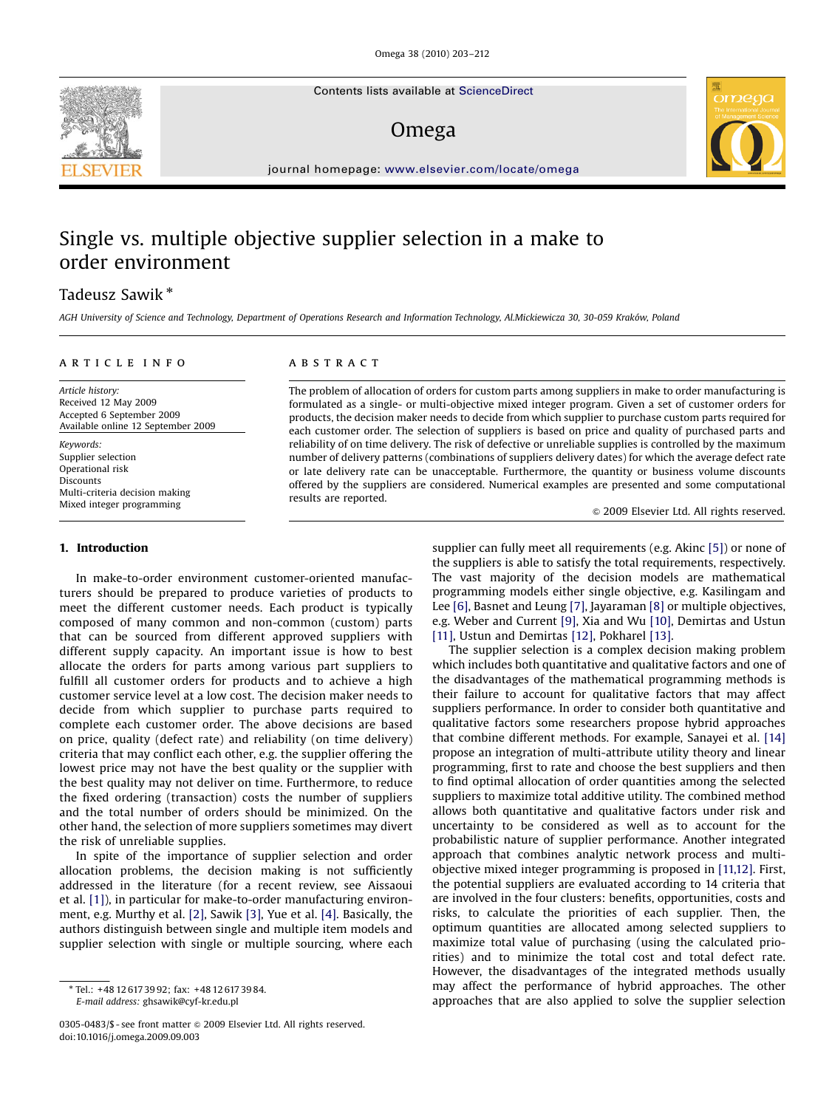Contents lists available at ScienceDirect

## Omega

ornega



## Single vs. multiple objective supplier selection in a make to order environment

## Tadeusz Sawik<sup>\*</sup>

AGH University of Science and Technology, Department of Operations Research and Information Technology, Al.Mickiewicza 30, 30-059 Krakow, Poland ´

#### article info

Article history: Received 12 May 2009 Accepted 6 September 2009 Available online 12 September 2009

Keywords: Supplier selection Operational risk Discounts Multi-criteria decision making Mixed integer programming

### 1. Introduction

In make-to-order environment customer-oriented manufacturers should be prepared to produce varieties of products to meet the different customer needs. Each product is typically composed of many common and non-common (custom) parts that can be sourced from different approved suppliers with different supply capacity. An important issue is how to best allocate the orders for parts among various part suppliers to fulfill all customer orders for products and to achieve a high customer service level at a low cost. The decision maker needs to decide from which supplier to purchase parts required to complete each customer order. The above decisions are based on price, quality (defect rate) and reliability (on time delivery) criteria that may conflict each other, e.g. the supplier offering the lowest price may not have the best quality or the supplier with the best quality may not deliver on time. Furthermore, to reduce the fixed ordering (transaction) costs the number of suppliers and the total number of orders should be minimized. On the other hand, the selection of more suppliers sometimes may divert the risk of unreliable supplies.

In spite of the importance of supplier selection and order allocation problems, the decision making is not sufficiently addressed in the literature (for a recent review, see Aissaoui et al. [\[1\]\)](#page--1-0), in particular for make-to-order manufacturing environment, e.g. Murthy et al. [\[2\]](#page--1-0), Sawik [\[3\],](#page--1-0) Yue et al. [\[4\].](#page--1-0) Basically, the authors distinguish between single and multiple item models and supplier selection with single or multiple sourcing, where each

### ABSTRACT

The problem of allocation of orders for custom parts among suppliers in make to order manufacturing is formulated as a single- or multi-objective mixed integer program. Given a set of customer orders for products, the decision maker needs to decide from which supplier to purchase custom parts required for each customer order. The selection of suppliers is based on price and quality of purchased parts and reliability of on time delivery. The risk of defective or unreliable supplies is controlled by the maximum number of delivery patterns (combinations of suppliers delivery dates) for which the average defect rate or late delivery rate can be unacceptable. Furthermore, the quantity or business volume discounts offered by the suppliers are considered. Numerical examples are presented and some computational results are reported.

 $\circ$  2009 Elsevier Ltd. All rights reserved.

supplier can fully meet all requirements (e.g. Akinc [\[5\]](#page--1-0)) or none of the suppliers is able to satisfy the total requirements, respectively. The vast majority of the decision models are mathematical programming models either single objective, e.g. Kasilingam and Lee [\[6\]](#page--1-0), Basnet and Leung [\[7\],](#page--1-0) Jayaraman [\[8\]](#page--1-0) or multiple objectives, e.g. Weber and Current [\[9\],](#page--1-0) Xia and Wu [\[10\],](#page--1-0) Demirtas and Ustun [\[11\]](#page--1-0), Ustun and Demirtas [\[12\],](#page--1-0) Pokharel [\[13\].](#page--1-0)

The supplier selection is a complex decision making problem which includes both quantitative and qualitative factors and one of the disadvantages of the mathematical programming methods is their failure to account for qualitative factors that may affect suppliers performance. In order to consider both quantitative and qualitative factors some researchers propose hybrid approaches that combine different methods. For example, Sanayei et al. [\[14\]](#page--1-0) propose an integration of multi-attribute utility theory and linear programming, first to rate and choose the best suppliers and then to find optimal allocation of order quantities among the selected suppliers to maximize total additive utility. The combined method allows both quantitative and qualitative factors under risk and uncertainty to be considered as well as to account for the probabilistic nature of supplier performance. Another integrated approach that combines analytic network process and multiobjective mixed integer programming is proposed in [\[11,12\]](#page--1-0). First, the potential suppliers are evaluated according to 14 criteria that are involved in the four clusters: benefits, opportunities, costs and risks, to calculate the priorities of each supplier. Then, the optimum quantities are allocated among selected suppliers to maximize total value of purchasing (using the calculated priorities) and to minimize the total cost and total defect rate. However, the disadvantages of the integrated methods usually may affect the performance of hybrid approaches. The other approaches that are also applied to solve the supplier selection



<sup>-</sup> Tel.: +48 12 617 39 92; fax: +48 12 617 39 84. E-mail address: [ghsawik@cyf-kr.edu.pl](mailto:ghsawik@cyf-kr.edu.pl)

<sup>0305-0483/\$ -</sup> see front matter @ 2009 Elsevier Ltd. All rights reserved. doi:[10.1016/j.omega.2009.09.003](dx.doi.org/10.1016/j.omega.2009.09.003)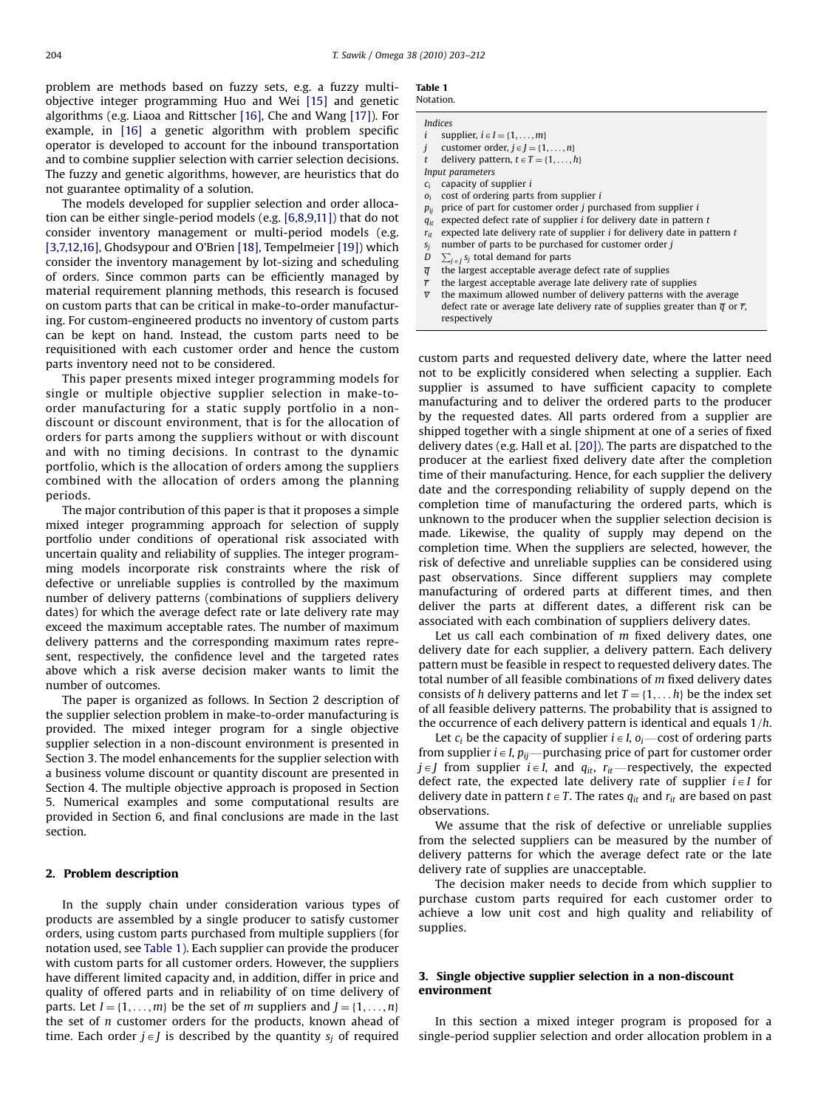problem are methods based on fuzzy sets, e.g. a fuzzy multiobjective integer programming Huo and Wei [\[15\]](#page--1-0) and genetic algorithms (e.g. Liaoa and Rittscher [\[16\]](#page--1-0), Che and Wang [\[17\]\)](#page--1-0). For example, in [\[16\]](#page--1-0) a genetic algorithm with problem specific operator is developed to account for the inbound transportation and to combine supplier selection with carrier selection decisions. The fuzzy and genetic algorithms, however, are heuristics that do not guarantee optimality of a solution.

The models developed for supplier selection and order allocation can be either single-period models (e.g. [\[6,8,9,11\]\)](#page--1-0) that do not consider inventory management or multi-period models (e.g. [\[3,7,12,16\],](#page--1-0) Ghodsypour and O'Brien [\[18\]](#page--1-0), Tempelmeier [\[19\]\)](#page--1-0) which consider the inventory management by lot-sizing and scheduling of orders. Since common parts can be efficiently managed by material requirement planning methods, this research is focused on custom parts that can be critical in make-to-order manufacturing. For custom-engineered products no inventory of custom parts can be kept on hand. Instead, the custom parts need to be requisitioned with each customer order and hence the custom parts inventory need not to be considered.

This paper presents mixed integer programming models for single or multiple objective supplier selection in make-toorder manufacturing for a static supply portfolio in a nondiscount or discount environment, that is for the allocation of orders for parts among the suppliers without or with discount and with no timing decisions. In contrast to the dynamic portfolio, which is the allocation of orders among the suppliers combined with the allocation of orders among the planning periods.

The major contribution of this paper is that it proposes a simple mixed integer programming approach for selection of supply portfolio under conditions of operational risk associated with uncertain quality and reliability of supplies. The integer programming models incorporate risk constraints where the risk of defective or unreliable supplies is controlled by the maximum number of delivery patterns (combinations of suppliers delivery dates) for which the average defect rate or late delivery rate may exceed the maximum acceptable rates. The number of maximum delivery patterns and the corresponding maximum rates represent, respectively, the confidence level and the targeted rates above which a risk averse decision maker wants to limit the number of outcomes.

The paper is organized as follows. In Section 2 description of the supplier selection problem in make-to-order manufacturing is provided. The mixed integer program for a single objective supplier selection in a non-discount environment is presented in Section 3. The model enhancements for the supplier selection with a business volume discount or quantity discount are presented in Section 4. The multiple objective approach is proposed in Section 5. Numerical examples and some computational results are provided in Section 6, and final conclusions are made in the last section.

#### 2. Problem description

In the supply chain under consideration various types of products are assembled by a single producer to satisfy customer orders, using custom parts purchased from multiple suppliers (for notation used, see Table 1). Each supplier can provide the producer with custom parts for all customer orders. However, the suppliers have different limited capacity and, in addition, differ in price and quality of offered parts and in reliability of on time delivery of parts. Let  $I = \{1, \ldots, m\}$  be the set of m suppliers and  $J = \{1, \ldots, n\}$ the set of n customer orders for the products, known ahead of time. Each order  $j \in J$  is described by the quantity  $s_j$  of required

#### Table 1 Notation.

## Indices

| i          | supplier, $i \in I = \{1, \ldots, m\}$       |
|------------|----------------------------------------------|
| j          | customer order, $j \in J = \{1, \ldots, n\}$ |
| $\ddot{r}$ | $\lambda$ olivomi nattorn $t-T$ (1)          |

delivery pattern,  $t \in T = \{1, \ldots, h\}$ 

- Input parameters
- $c_i$  capacity of supplier i
- $o_i$  cost of ordering parts from supplier *i*
- $p_{ij}$  price of part for customer order *j* purchased from supplier *i*
- $q_{it}$  expected defect rate of supplier *i* for delivery date in pattern *t*
- $r_{it}$  expected late delivery rate of supplier *i* for delivery date in pattern *t*  $s_j$  number of parts to be purchased for customer order  $j$
- $\overrightarrow{D}$   $\sum_{j \in J} s_j$  total demand for parts
- 
- $\overline{q}$  the largest acceptable average defect rate of supplies
- the largest acceptable average late delivery rate of supplies
- $\overline{v}$  the maximum allowed number of delivery patterns with the average defect rate or average late delivery rate of supplies greater than  $\overline{q}$  or  $\overline{r}$ , respectively

custom parts and requested delivery date, where the latter need not to be explicitly considered when selecting a supplier. Each supplier is assumed to have sufficient capacity to complete manufacturing and to deliver the ordered parts to the producer by the requested dates. All parts ordered from a supplier are shipped together with a single shipment at one of a series of fixed delivery dates (e.g. Hall et al. [\[20\]](#page--1-0)). The parts are dispatched to the producer at the earliest fixed delivery date after the completion time of their manufacturing. Hence, for each supplier the delivery date and the corresponding reliability of supply depend on the completion time of manufacturing the ordered parts, which is unknown to the producer when the supplier selection decision is made. Likewise, the quality of supply may depend on the completion time. When the suppliers are selected, however, the risk of defective and unreliable supplies can be considered using past observations. Since different suppliers may complete manufacturing of ordered parts at different times, and then deliver the parts at different dates, a different risk can be associated with each combination of suppliers delivery dates.

Let us call each combination of  $m$  fixed delivery dates, one delivery date for each supplier, a delivery pattern. Each delivery pattern must be feasible in respect to requested delivery dates. The total number of all feasible combinations of m fixed delivery dates consists of h delivery patterns and let  $T = \{1, \ldots, h\}$  be the index set of all feasible delivery patterns. The probability that is assigned to the occurrence of each delivery pattern is identical and equals  $1/h$ .

Let  $c_i$  be the capacity of supplier  $i \in I$ ,  $o_i$  cost of ordering parts from supplier  $i \in I$ ,  $p_{ii}$  purchasing price of part for customer order  $j \in J$  from supplier  $i \in I$ , and  $q_{it}$ ,  $r_{it}$  respectively, the expected defect rate, the expected late delivery rate of supplier  $i \in I$  for delivery date in pattern  $t \in T$ . The rates  $q_{it}$  and  $r_{it}$  are based on past observations.

We assume that the risk of defective or unreliable supplies from the selected suppliers can be measured by the number of delivery patterns for which the average defect rate or the late delivery rate of supplies are unacceptable.

The decision maker needs to decide from which supplier to purchase custom parts required for each customer order to achieve a low unit cost and high quality and reliability of supplies.

### 3. Single objective supplier selection in a non-discount environment

In this section a mixed integer program is proposed for a single-period supplier selection and order allocation problem in a